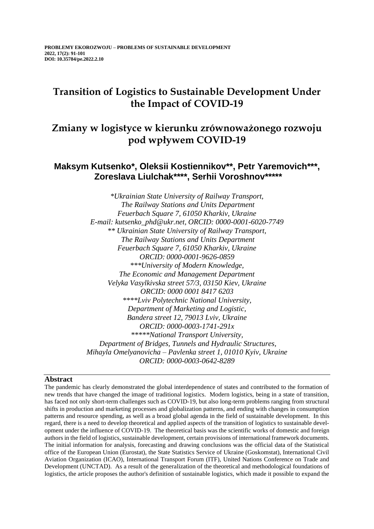# **Transition of Logistics to Sustainable Development Under the Impact of COVID-19**

# **Zmiany w logistyce w kierunku zrównoważonego rozwoju pod wpływem COVID-19**

# **Maksym Kutsenko\*, Оleksii Kostiennikov\*\*, Petr Yaremovich\*\*\*, Zoreslava Liulchak\*\*\*\*, Serhii Voroshnov\*\*\*\*\***

*\*Ukrainian State University of Railway Transport, The Railway Stations and Units Department Feuerbach Square 7, 61050 Kharkiv, Ukraine E-mail: kutsenko\_phd@ukr.net, ORCID: 0000-0001-6020-7749 \*\* Ukrainian State University of Railway Transport, The Railway Stations and Units Department Feuerbach Square 7, 61050 Kharkiv, Ukraine ORCID: 0000-0001-9626-0859 \*\*\*University of Modern Knowledge, The Economic and Management Department Velyka Vasylkivska street 57/3, 03150 Kiev, Ukraine ORCID: 0000 0001 8417 6203 \*\*\*\*Lviv Polytechnic National University, Department of Marketing and Logistic, Bandera street 12, 79013 Lviv, Ukraine ORCID: 0000-0003-1741-291x \*\*\*\*\*National Transport University, Department of Bridges, Tunnels and Hydraulic Structures, Mihayla Omelyanovicha – Pavlenka street 1, 01010 Kyiv, Ukraine ORCID: 0000-0003-0642-8289*

# **Abstract**

The pandemic has clearly demonstrated the global interdependence of states and contributed to the formation of new trends that have changed the image of traditional logistics. Modern logistics, being in a state of transition, has faced not only short-term challenges such as COVID-19, but also long-term problems ranging from structural shifts in production and marketing processes and globalization patterns, and ending with changes in consumption patterns and resource spending, as well as a broad global agenda in the field of sustainable development. In this regard, there is a need to develop theoretical and applied aspects of the transition of logistics to sustainable development under the influence of COVID-19. The theoretical basis was the scientific works of domestic and foreign authors in the field of logistics, sustainable development, certain provisions of international framework documents. The initial information for analysis, forecasting and drawing conclusions was the official data of the Statistical office of the European Union (Eurostat), the State Statistics Service of Ukraine (Goskomstat), International Civil Aviation Organization (ICAO), International Transport Forum (ITF), United Nations Conference on Trade and Development (UNCTAD). As a result of the generalization of the theoretical and methodological foundations of logistics, the article proposes the author's definition of sustainable logistics, which made it possible to expand the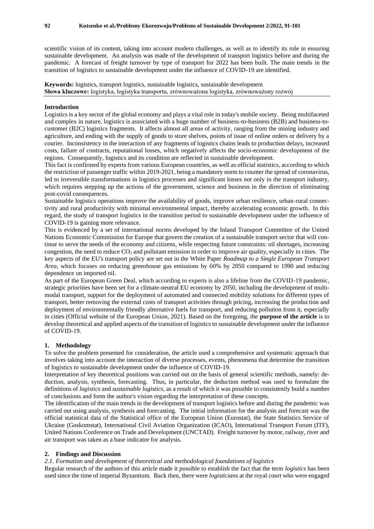scientific vision of its content, taking into account modern challenges, as well as to identify its role in ensuring sustainable development. An analysis was made of the development of transport logistics before and during the pandemic. A forecast of freight turnover by type of transport for 2022 has been built. The main trends in the transition of logistics to sustainable development under the influence of COVID-19 are identified.

**Keywords:** logistics, transport logistics, sustainable logistics, sustainable development **Słowa kluczowe:** logistyka, logistyka transportu, zrównoważona logistyka, zrównoważony rozwój

# **Introduction**

Logistics is a key sector of the global economy and plays a vital role in today's mobile society. Being multifaceted and complex in nature, logistics is associated with a huge number of business-to-business (B2B) and business-tocustomer (B2C) logistics fragments. It affects almost all areas of activity, ranging from the mining industry and agriculture, and ending with the supply of goods to store shelves, points of issue of online orders or delivery by a courier. Inconsistency in the interaction of any fragments of logistics chains leads to production delays, increased costs, failure of contracts, reputational losses, which negatively affects the socio-economic development of the regions. Consequently, logistics and its condition are reflected in sustainable development.

This fact is confirmed by experts from various European countries, as well as official statistics, according to which the restriction of passenger traffic within 2019-2021, being a mandatory norm to counter the spread of coronavirus, led to irreversible transformations in logistics processes and significant losses not only in the transport industry, which requires stepping up the actions of the government, science and business in the direction of eliminating post-covid consequences.

Sustainable logistics operations improve the availability of goods, improve urban resilience, urban-rural connectivity and rural productivity with minimal environmental impact, thereby accelerating economic growth. In this regard, the study of transport logistics in the transition period to sustainable development under the influence of COVID-19 is gaining more relevance.

This is evidenced by a set of international norms developed by the Inland Transport Committee of the United Nations Economic Commission for Europe that govern the creation of a sustainable transport sector that will continue to serve the needs of the economy and citizens, while respecting future constraints: oil shortages, increasing congestion, the need to reduce  $CO<sub>2</sub>$  and pollutant emission in order to improve air quality, especially in cities. The key aspects of the EU's transport policy are set out in the White Paper *Roadmap to a Single European Transport Area*, which focuses on reducing greenhouse gas emissions by 60% by 2050 compared to 1990 and reducing dependence on imported oil.

As part of the European Green Deal, which according to experts is also a lifeline from the COVID-19 pandemic, strategic priorities have been set for a climate-neutral EU economy by 2050, including the development of multimodal transport, support for the deployment of automated and connected mobility solutions for different types of transport, better removing the external costs of transport activities through pricing, increasing the production and deployment of environmentally friendly alternative fuels for transport, and reducing pollution from it, especially in cities (Official website of the European Union, 2021). Based on the foregoing, the **purpose of the article** is to develop theoretical and applied aspects of the transition of logistics to sustainable development under the influence of COVID-19.

### **1. Methodology**

To solve the problem presented for consideration, the article used a comprehensive and systematic approach that involves taking into account the interaction of diverse processes, events, phenomena that determine the transition of logistics to sustainable development under the influence of COVID-19.

Interpretation of key theoretical positions was carried out on the basis of general scientific methods, namely: deduction, analysis, synthesis, forecasting. Thus, in particular, the deduction method was used to formulate the definitions of *logistics* and *sustainable logistics*, as a result of which it was possible to consistently build a number of conclusions and form the author's vision regarding the interpretation of these concepts.

The identification of the main trends in the development of transport logistics before and during the pandemic was carried out using analysis, synthesis and forecasting. The initial information for the analysis and forecast was the official statistical data of the Statistical office of the European Union (Eurostat), the State Statistics Service of Ukraine (Goskomstat), International Civil Aviation Organization (ICAO), International Transport Forum (ITF), United Nations Conference on Trade and Development (UNCTAD). Freight turnover by motor, railway, river and air transport was taken as a base indicator for analysis.

#### **2. Findings and Discussion**

#### *2.1. Formation and development of theoretical and methodological foundations of logistics*

Regular research of the authors of this article made it possible to establish the fact that the term *logistics* has been used since the time of imperial Byzantium. Back then, there were *logisticians* at the royal court who were engaged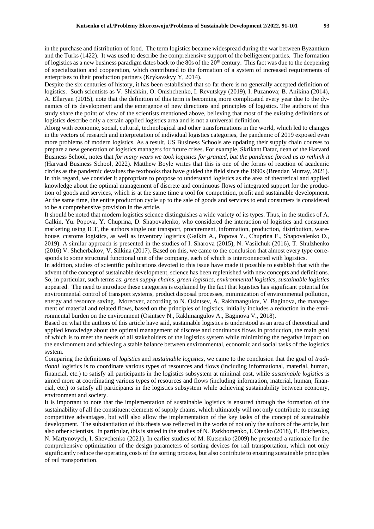in the purchase and distribution of food. The term logistics became widespread during the war between Byzantium and the Turks (1422). It was used to describe the comprehensive support of the belligerent parties. The formation of logistics as a new business paradigm dates back to the 80s of the  $20<sup>th</sup>$  century. This fact was due to the deepening of specialization and cooperation, which contributed to the formation of a system of increased requirements of enterprises to their production partners (Krykavskyy Y, 2014).

Despite the six centuries of history, it has been established that so far there is no generally accepted definition of logistics. Such scientists as V. Shishkin, O. Onishchenko, I. Revutskyy (2019), I. Puzanova; B. Anikina (2014), A. Ellaryan (2015), note that the definition of this term is becoming more complicated every year due to the dynamics of its development and the emergence of new directions and principles of logistics. The authors of this study share the point of view of the scientists mentioned above, believing that most of the existing definitions of logistics describe only a certain applied logistics area and is not a universal definition.

Along with economic, social, cultural, technological and other transformations in the world, which led to changes in the vectors of research and interpretation of individual logistics categories, the pandemic of 2019 exposed even more problems of modern logistics. As a result, US Business Schools are updating their supply chain courses to prepare a new generation of logistics managers for future crises. For example, Skrikant Datar, dean of the Harvard Business School, notes that *for many years we took logistics for granted, but the pandemic forced us to rethink it* (Harvard Business School, 2022). Matthew Boyle writes that this is one of the forms of reaction of academic circles as the pandemic devalues the textbooks that have guided the field since the 1990s (Brendan Murray, 2021). In this regard, we consider it appropriate to propose to understand logistics as the area of theoretical and applied knowledge about the optimal management of discrete and continuous flows of integrated support for the production of goods and services, which is at the same time a tool for competition, profit and sustainable development. At the same time, the entire production cycle up to the sale of goods and services to end consumers is considered to be a comprehensive provision in the article.

It should be noted that modern logistics science distinguishes a wide variety of its types. Thus, in the studies of A. Galkin, Yu. Popova, Y. Chuprina, D. Shapovalenko, who considered the interaction of logistics and consumer marketing using ICT, the authors single out transport, procurement, information, production, distribution, warehouse, customs logistics, as well as inventory logistics (Galkin A., Popova Y., Chuprina E., Shapovalenko D., 2019). A similar approach is presented in the studies of I. Sharova (2015), N. Vasilchuk (2016), T. Shulzhenko (2016) V. Shcherbakov, V. Silkina (2017). Based on this, we came to the conclusion that almost every type corresponds to some structural functional unit of the company, each of which is interconnected with logistics.

In addition, studies of scientific publications devoted to this issue have made it possible to establish that with the advent of the concept of sustainable development, science has been replenished with new concepts and definitions. So, in particular, such terms as: *green supply chains, green logistics, environmental logistics, sustainable logistics* appeared. The need to introduce these categories is explained by the fact that logistics has significant potential for environmental control of transport systems, product disposal processes, minimization of environmental pollution, energy and resource saving. Moreover, according to N. Osintsev, A. Rakhmangulov, V. Baginova, the management of material and related flows, based on the principles of logistics, initially includes a reduction in the environmental burden on the environment (Osintsev N., Rakhmangulov A., Baginova V., 2018).

Based on what the authors of this article have said, sustainable logistics is understood as an area of theoretical and applied knowledge about the optimal management of discrete and continuous flows in production, the main goal of which is to meet the needs of all stakeholders of the logistics system while minimizing the negative impact on the environment and achieving a stable balance between environmental, economic and social tasks of the logistics system.

Comparing the definitions of *logistics* and *sustainable logistics*, we came to the conclusion that the goal of *traditional* logistics is to coordinate various types of resources and flows (including informational, material, human, financial, etc.) to satisfy all participants in the logistics subsystem at minimal cost, while *sustainable logistics* is aimed more at coordinating various types of resources and flows (including information, material, human, financial, etc.) to satisfy all participants in the logistics subsystem while achieving sustainability between economy, environment and society.

It is important to note that the implementation of sustainable logistics is ensured through the formation of the sustainability of all the constituent elements of supply chains, which ultimately will not only contribute to ensuring competitive advantages, but will also allow the implementation of the key tasks of the concept of sustainable development. The substantiation of this thesis was reflected in the works of not only the authors of the article, but also other scientists. In particular, this is stated in the studies of N. Parkhomenko, I. Otenko (2018), E. Boichenko, N. Martynovych, I. Shevchenko (2021). In earlier studies of M. Kutsenko (2009) he presented a rationale for the comprehensive optimization of the design parameters of sorting devices for rail transportation, which not only significantly reduce the operating costs of the sorting process, but also contribute to ensuring sustainable principles of rail transportation.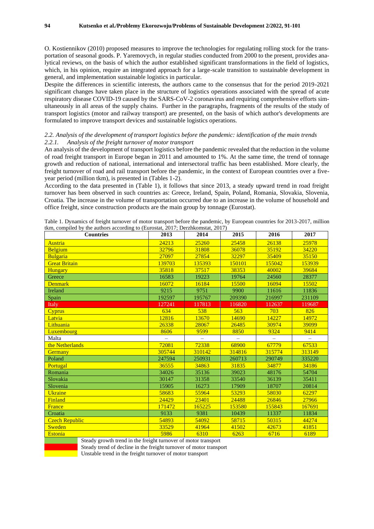O. Kostiennikov (2010) proposed measures to improve the technologies for regulating rolling stock for the transportation of seasonal goods. P. Yaremovych, in regular studies conducted from 2000 to the present, provides analytical reviews, on the basis of which the author established significant transformations in the field of logistics, which, in his opinion, require an integrated approach for a large-scale transition to sustainable development in general, and implementation sustainable logistics in particular.

Despite the differences in scientific interests, the authors came to the consensus that for the period 2019-2021 significant changes have taken place in the structure of logistics operations associated with the spread of acute respiratory disease COVID-19 caused by the SARS-CoV-2 coronavirus and requiring comprehensive efforts simultaneously in all areas of the supply chains. Further in the paragraphs, fragments of the results of the study of transport logistics (motor and railway transport) are presented, on the basis of which author's developments are formulated to improve transport devices and sustainable logistics operations.

# *2.2. Analysis of the development of transport logistics before the pandemic: identification of the main trends 2.2.1. Analysis of the freight turnover of motor transport*

An analysis of the development of transport logistics before the pandemic revealed that the reduction in the volume of road freight transport in Europe began in 2011 and amounted to 1%. At the same time, the trend of tonnage growth and reduction of national, international and intersectoral traffic has been established. More clearly, the freight turnover of road and rail transport before the pandemic, in the context of European countries over a fiveyear period (million tkm), is presented in (Tables 1-2).

According to the data presented in (Table 1), it follows that since 2013, a steady upward trend in road freight turnover has been observed in such countries as: Greece, Ireland, Spain, Poland, Romania, Slovakia, Slovenia, Croatia. The increase in the volume of transportation occurred due to an increase in the volume of household and office freight, since construction products are the main group by tonnage (Eurostat).

Table 1. Dynamics of freight turnover of motor transport before the pandemic, by European countries for 2013-2017, million tkm, compiled by the authors according to (Eurostat, 2017; Derzhkomstat, 2017)

| $\alpha$ , complied by the authors according to (Eurosian, 2017, Defermination 2017)<br><b>Countries</b> | 2013   | 2014     | 2015     | 2016     | 2017   |
|----------------------------------------------------------------------------------------------------------|--------|----------|----------|----------|--------|
| Austria                                                                                                  | 24213  | 25260    | 25458    | 26138    | 25978  |
| <b>Belgium</b>                                                                                           | 32796  | 31808    | 36078    | 35192    | 34220  |
| Bulgaria                                                                                                 | 27097  | 27854    | 32297    | 35409    | 35150  |
| <b>Great Britain</b>                                                                                     | 139703 | 135393   | 150101   | 155042   | 153939 |
| Hungary                                                                                                  | 35818  | 37517    | 38353    | 40002    | 39684  |
| Greece                                                                                                   | 16583  | 19223    | 19764    | 24560    | 28377  |
| <b>Denmark</b>                                                                                           | 16072  | 16184    | 15500    | 16094    | 15502  |
| Ireland                                                                                                  | 9215   | 9751     | 9900     | 11616    | 11836  |
| Spain                                                                                                    | 192597 | 195767   | 209390   | 216997   | 231109 |
| Italy                                                                                                    | 127241 | 117813   | 116820   | 112637   | 119687 |
| <b>Cyprus</b>                                                                                            | 634    | 538      | 563      | 703      | 826    |
| Latvia                                                                                                   | 12816  | 13670    | 14690    | 14227    | 14972  |
| Lithuania                                                                                                | 26338  | 28067    | 26485    | 30974    | 39099  |
| <b>Luxembourg</b>                                                                                        | 8606   | 9599     | 8850     | 9324     | 9414   |
| Malta                                                                                                    |        | $\equiv$ | $\equiv$ | $\equiv$ |        |
| the Netherlands                                                                                          | 72081  | 72338    | 68900    | 67779    | 67533  |
| Germany                                                                                                  | 305744 | 310142   | 314816   | 315774   | 313149 |
| Poland                                                                                                   | 247594 | 250931   | 260713   | 290749   | 335220 |
| Portugal                                                                                                 | 36555  | 34863    | 31835    | 34877    | 34186  |
| Romania                                                                                                  | 34026  | 35136    | 39023    | 48176    | 54704  |
| Slovakia                                                                                                 | 30147  | 31358    | 33540    | 36139    | 35411  |
| Slovenia                                                                                                 | 15905  | 16273    | 17909    | 18707    | 20814  |
| <b>Ukraine</b>                                                                                           | 58683  | 55964    | 53293    | 58030    | 62297  |
| Finland                                                                                                  | 24429  | 23401    | 24488    | 26846    | 27966  |
| France                                                                                                   | 171472 | 165225   | 153580   | 155843   | 167691 |
| Croatia                                                                                                  | 9133   | 9381     | 10439    | 11337    | 11834  |
| <b>Czech Republic</b>                                                                                    | 54893  | 54092    | 58715    | 50315    | 44274  |
| <b>Sweden</b>                                                                                            | 33529  | 41964    | 41502    | 42673    | 41851  |
| <b>Estonia</b>                                                                                           | 5986   | 6310     | 6263     | 6716     | 6189   |
| Steady appear to trand in the freight turner or of motor transport                                       |        |          |          |          |        |



Steady growth trend in the freight turnover of motor transport Steady trend of decline in the freight turnover of motor transport

Unstable trend in the freight turnover of motor transport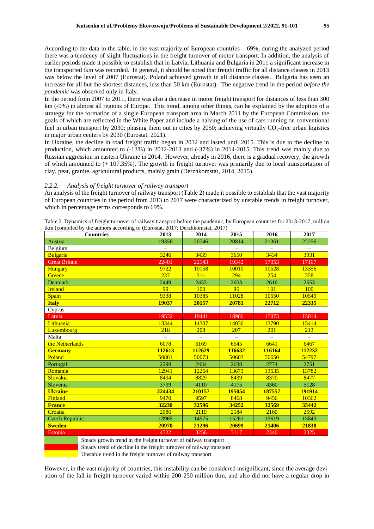According to the data in the table, in the vast majority of European countries – 69%, during the analyzed period there was a tendency of slight fluctuations in the freight turnover of motor transport. In addition, the analysis of earlier periods made it possible to establish that in Latvia, Lithuania and Bulgaria in 2011 a significant increase in the transported tkm was recorded. In general, it should be noted that freight traffic for all distance classes in 2013 was below the level of 2007 (Eurostat). Poland achieved growth in all distance classes. Bulgaria has seen an increase for all but the shortest distances, less than 50 km (Eurostat). The negative trend in the period *before the pandemic* was observed only in Italy.

In the period from 2007 to 2011, there was also a decrease in motor freight transport for distances of less than 300 km (-9%) in almost all regions of Europe. This trend, among other things, can be explained by the adoption of a strategy for the formation of a single European transport area in March 2011 by the European Commission, the goals of which are reflected in the White Paper and include a halving of the use of cars running on conventional fuel in urban transport by 2030; phasing them out in cities by 2050; achieving virtually  $CO_2$ -free urban logistics in major urban centers by 2030 (Eurostat, 2021).

In Ukraine, the decline in road freight traffic began in 2012 and lasted until 2015. This is due to the decline in production, which amounted to (-13%) in 2012-2013 and (-37%) in 2014-2015. This trend was mainly due to Russian aggression in eastern Ukraine in 2014. However, already in 2016, there is a gradual recovery, the growth of which amounted to (+ 107.35%). The growth in freight turnover was primarily due to local transportation of clay, peat, granite, agricultural products, mainly grain (Derzhkomstat, 2014, 2015).

#### *2.2.2. Analysis of freight turnover of railway transport*

An analysis of the freight turnover of railway transport (Table 2) made it possible to establish that the vast majority of European countries in the period from 2013 to 2017 were characterized by unstable trends in freight turnover, which in percentage terms corresponds to 69%.

Table 2. Dynamics of freight turnover of railway transport before the pandemic, by European countries for 2013-2017, million tkm (compiled by the authors according to (Eurostat, 2017; Derzhkomstat, 2017)

| tkin (complied by the authors according to (Eurostat, 2017, Derzhkomstat, 2017)<br><b>Countries</b> | 2013     | 2014     | 2015     | 2016                     | 2017                     |
|-----------------------------------------------------------------------------------------------------|----------|----------|----------|--------------------------|--------------------------|
| Austria                                                                                             | 19356    | 20746    | 20814    | 21361                    | 22256                    |
| Belgium                                                                                             |          | $\equiv$ |          |                          |                          |
| <b>Bulgaria</b>                                                                                     | 3246     | 3439     | 3650     | 3434                     | 3931                     |
| <b>Great Britain</b>                                                                                | 22401    | 22143    | 19342    | 17053                    | 17167                    |
| Hungary                                                                                             | 9722     | 10158    | 10010    | 10528                    | 13356                    |
| Greece                                                                                              | 237      | 311      | 294      | 254                      | 358                      |
| <b>Denmark</b>                                                                                      | 2449     | 2453     | 2603     | 2616                     | 2653                     |
| <b>Ireland</b>                                                                                      | 99       | 100      | 96       | 101                      | 100                      |
| Spain                                                                                               | 9338     | 10385    | 11028    | 10550                    | 10549                    |
| <b>Italy</b>                                                                                        | 19037    | 20157    | 20781    | 22712                    | 22335                    |
| Cyprus                                                                                              | $\equiv$ | $\equiv$ | $\equiv$ | $\overline{\phantom{m}}$ | $\overline{\phantom{0}}$ |
| Latvia                                                                                              | 19532    | 19441    | 18906    | 15873                    | 15014                    |
| Lithuania                                                                                           | 13344    | 14307    | 14036    | 13790                    | 15414                    |
| <b>Luxembourg</b>                                                                                   | 218      | 208      | 207      | 201                      | 213                      |
| Malta                                                                                               |          |          |          |                          |                          |
| the Netherlands                                                                                     | 6078     | 6169     | 6545     | 6641                     | 6467                     |
| <b>Germany</b>                                                                                      | 112613   | 112629   | 116632   | 116164                   | 112232                   |
| Poland                                                                                              | 50881    | 50073    | 50603    | 50650                    | 54797                    |
| Portugal                                                                                            | 2290     | 2434     | 2688     | 2774                     | 2751                     |
| Romania                                                                                             | 12941    | 12264    | 13673    | 13535                    | 13782                    |
| Slovakia                                                                                            | 8494     | 8829     | 8439     | 8370                     | 8477                     |
| Slovenia                                                                                            | 3799     | 4110     | 4175     | 4360                     | 5128                     |
| <b>Ukraine</b>                                                                                      | 224434   | 210157   | 195054   | 187557                   | 191914                   |
| Finland                                                                                             | 9470     | 9597     | 8468     | 9456                     | 10362                    |
| <b>France</b>                                                                                       | 32230    | 32596    | 34252    | 32569                    | 33442                    |
| Croatia                                                                                             | 2086     | 2119     | 2184     | 2160                     | 2592                     |
| <b>Czech Republic</b>                                                                               | 13965    | 14575    | 15261    | 15619                    | 15843                    |
| <b>Sweden</b>                                                                                       | 20970    | 21296    | 20699    | 21406                    | 21838                    |
| Estonia                                                                                             | 4722     | 3256     | 3117     | 2340                     | 2325                     |
| Steady growth trend in the freight turnover of railway transport                                    |          |          |          |                          |                          |

Steady trend of decline in the freight turnover of railway transport

Unstable trend in the freight turnover of railway transport

However, in the vast majority of countries, this instability can be considered insignificant, since the average deviation of the fall in freight turnover varied within 200-250 million tkm, and also did not have a regular drop in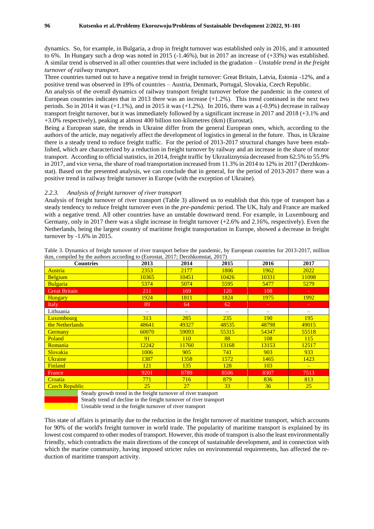dynamics. So, for example, in Bulgaria, a drop in freight turnover was established only in 2016, and it amounted to 6%. In Hungary such a drop was noted in 2015 (-1.46%), but in 2017 an increase of (+33%) was established. A similar trend is observed in all other countries that were included in the gradation – *Unstable trend in the freight turnover of railway transport.*

Three countries turned out to have a negative trend in freight turnover: Great Britain, Latvia, Estonia -12%, and a positive trend was observed in 19% of countries – Austria, Denmark, Portugal, Slovakia, Czech Republic.

An analysis of the overall dynamics of railway transport freight turnover before the pandemic in the context of European countries indicates that in 2013 there was an increase  $(+1.2%)$ . This trend continued in the next two periods. So in 2014 it was (+1.1%), and in 2015 it was (+1.2%). In 2016, there was a (-0.9%) decrease in railway transport freight turnover, but it was immediately followed by a significant increase in 2017 and 2018 (+3.1% and +3.0% respectively), peaking at almost 400 billion ton-kilometres (tkm) (Eurostat).

Being a European state, the trends in Ukraine differ from the general European ones, which, according to the authors of the article, may negatively affect the development of logistics in general in the future. Thus, in Ukraine there is a steady trend to reduce freight traffic. For the period of 2013-2017 structural changes have been established, which are characterized by a reduction in freight turnover by railway and an increase in the share of motor transport. According to official statistics, in 2014, freight traffic by Ukrzaliznytsia decreased from 62.5% to 55.9% in 2017, and vice versa, the share of road transportation increased from 11.3% in 2014 to 12% in 2017 (Derzhkomstat). Based on the presented analysis, we can conclude that in general, for the period of 2013-2017 there was a positive trend in railway freight turnover in Europe (with the exception of Ukraine).

#### *2.2.3. Analysis of freight turnover of river transport*

Analysis of freight turnover of river transport (Table 3) allowed us to establish that this type of transport has a steady tendency to reduce freight turnover even in the *pre-pandemic* period. The UK, Italy and France are marked with a negative trend. All other countries have an unstable downward trend. For example, in Luxembourg and Germany, only in 2017 there was a slight increase in freight turnover (+2.6% and 2.16%, respectively). Even the Netherlands, being the largest country of maritime freight transportation in Europe, showed a decrease in freight turnover by -1.6% in 2015.

| <b>Countries</b>                                                                                                                                                                                                                                                                                                                                                                                                                                                 | 2013  | 2014       | 2015       | 2016  | 2017                     |
|------------------------------------------------------------------------------------------------------------------------------------------------------------------------------------------------------------------------------------------------------------------------------------------------------------------------------------------------------------------------------------------------------------------------------------------------------------------|-------|------------|------------|-------|--------------------------|
| Austria                                                                                                                                                                                                                                                                                                                                                                                                                                                          | 2353  | 2177       | 1806       | 1962  | 2022                     |
| <b>Belgium</b>                                                                                                                                                                                                                                                                                                                                                                                                                                                   | 10365 | 10451      | 10426      | 10331 | 11098                    |
| <b>Bulgaria</b>                                                                                                                                                                                                                                                                                                                                                                                                                                                  | 5374  | 5074       | 5595       | 5477  | 5279                     |
| <b>Great Britain</b>                                                                                                                                                                                                                                                                                                                                                                                                                                             | 211   | 169        | <b>120</b> | 108   | $\overline{\phantom{m}}$ |
| <b>Hungary</b>                                                                                                                                                                                                                                                                                                                                                                                                                                                   | 1924  | 1811       | 1824       | 1975  | 1992                     |
| Italy                                                                                                                                                                                                                                                                                                                                                                                                                                                            | 89    | 64         | 62         |       | $=$                      |
| Lithuania                                                                                                                                                                                                                                                                                                                                                                                                                                                        |       | -          |            |       | -                        |
| <b>Luxembourg</b>                                                                                                                                                                                                                                                                                                                                                                                                                                                | 313   | 285        | 235        | 190   | 195                      |
| the Netherlands                                                                                                                                                                                                                                                                                                                                                                                                                                                  | 48641 | 49327      | 48535      | 48798 | 49015                    |
| Germany                                                                                                                                                                                                                                                                                                                                                                                                                                                          | 60070 | 59093      | 55315      | 54347 | 55518                    |
| Poland                                                                                                                                                                                                                                                                                                                                                                                                                                                           | 91    | <b>110</b> | 88         | 108   | <b>115</b>               |
| <b>Romania</b>                                                                                                                                                                                                                                                                                                                                                                                                                                                   | 12242 | 11760      | 13168      | 13153 | 12517                    |
| Slovakia                                                                                                                                                                                                                                                                                                                                                                                                                                                         | 1006  | 905        | 741        | 903   | 933                      |
| <b>Ukraine</b>                                                                                                                                                                                                                                                                                                                                                                                                                                                   | 1387  | 1358       | 1572       | 1465  | 1423                     |
| <b>Finland</b>                                                                                                                                                                                                                                                                                                                                                                                                                                                   | 121   | 135        | 128        | 103   | $\equiv$                 |
| France                                                                                                                                                                                                                                                                                                                                                                                                                                                           | 9201  | 8789       | 8506       | 8307  | 7513                     |
| Croatia                                                                                                                                                                                                                                                                                                                                                                                                                                                          | 771   | 716        | 879        | 836   | 813                      |
| <b>Czech Republic</b>                                                                                                                                                                                                                                                                                                                                                                                                                                            | 25    | 27         | 33         | 36    | 25                       |
| $\alpha$ , $\alpha$ , $\alpha$ , $\alpha$ , $\alpha$ , $\alpha$ , $\alpha$ , $\alpha$ , $\alpha$ , $\alpha$ , $\alpha$ , $\alpha$ , $\alpha$ , $\alpha$ , $\alpha$ , $\alpha$ , $\alpha$ , $\alpha$ , $\alpha$ , $\alpha$ , $\alpha$ , $\alpha$ , $\alpha$ , $\alpha$ , $\alpha$ , $\alpha$ , $\alpha$ , $\alpha$ , $\alpha$ , $\alpha$ , $\alpha$ , $\alpha$ , $\alpha$ , $\alpha$ , $\alpha$ , $\alpha$ , $\alpha$ ,<br>$\mathbf{c}$ . The set of $\mathbf{c}$ |       |            |            |       |                          |

Table 3. Dynamics of freight turnover of river transport before the pandemic, by European countries for 2013-2017, million tkm, compiled by the authors according to (Eurostat, 2017; Derzhkomstat, 2017)

Steady growth trend in the freight turnover of river transport Steady trend of decline in the freight turnover of river transport Unstable trend in the freight turnover of river transport

This state of affairs is primarily due to the reduction in the freight turnover of maritime transport, which accounts for 90% of the world's freight turnover in world trade. The popularity of maritime transport is explained by its lowest cost compared to other modes of transport. However, this mode of transport is also the least environmentally friendly, which contradicts the main directions of the concept of sustainable development, and in connection with which the marine community, having imposed stricter rules on environmental requirements, has affected the reduction of maritime transport activity.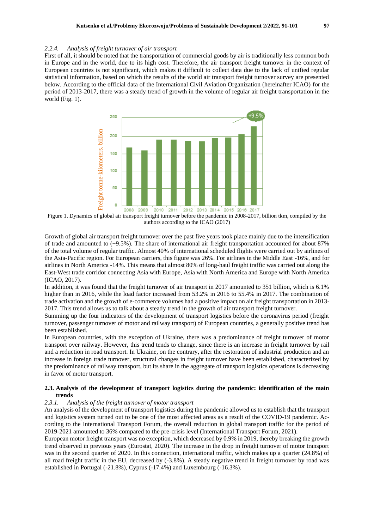#### *2.2.4. Analysis of freight turnover of air transport*

First of all, it should be noted that the transportation of commercial goods by air is traditionally less common both in Europe and in the world, due to its high cost. Therefore, the air transport freight turnover in the context of European countries is not significant, which makes it difficult to collect data due to the lack of unified regular statistical information, based on which the results of the world air transport freight turnover survey are presented below. According to the official data of the International Civil Aviation Organization (hereinafter ICAO) for the period of 2013-2017, there was a steady trend of growth in the volume of regular air freight transportation in the world (Fig. 1).



Figure 1. Dynamics of global air transport freight turnover before the pandemic in 2008-2017, billion tkm, compiled by the authors according to the ICAO (2017)

Growth of global air transport freight turnover over the past five years took place mainly due to the intensification of trade and amounted to (+9.5%). The share of international air freight transportation accounted for about 87% of the total volume of regular traffic. Almost 40% of international scheduled flights were carried out by airlines of the Asia-Pacific region. For European carriers, this figure was 26%. For airlines in the Middle East -16%, and for airlines in North America -14%. This means that almost 80% of long-haul freight traffic was carried out along the East-West trade corridor connecting Asia with Europe, Asia with North America and Europe with North America (ICAO, 2017).

In addition, it was found that the freight turnover of air transport in 2017 amounted to 351 billion, which is 6.1% higher than in 2016, while the load factor increased from 53.2% in 2016 to 55.4% in 2017. The combination of trade activation and the growth of e-commerce volumes had a positive impact on air freight transportation in 2013- 2017. This trend allows us to talk about a steady trend in the growth of air transport freight turnover.

Summing up the four indicators of the development of transport logistics before the coronavirus period (freight turnover, passenger turnover of motor and railway transport) of European countries, a generally positive trend has been established.

In European countries, with the exception of Ukraine, there was a predominance of freight turnover of motor transport over railway. However, this trend tends to change, since there is an increase in freight turnover by rail and a reduction in road transport. In Ukraine, on the contrary, after the restoration of industrial production and an increase in foreign trade turnover, structural changes in freight turnover have been established, characterized by the predominance of railway transport, but its share in the aggregate of transport logistics operations is decreasing in favor of motor transport.

# **2.3. Analysis of the development of transport logistics during the pandemic: identification of the main trends**

## *2.3.1. Analysis of the freight turnover of motor transport*

An analysis of the development of transport logistics during the pandemic allowed us to establish that the transport and logistics system turned out to be one of the most affected areas as a result of the COVID-19 pandemic. According to the International Transport Forum, the overall reduction in global transport traffic for the period of 2019-2021 amounted to 36% compared to the pre-crisis level (International Transport Forum, 2021).

European motor freight transport was no exception, which decreased by 0.9% in 2019, thereby breaking the growth trend observed in previous years (Eurostat, 2020). The increase in the drop in freight turnover of motor transport was in the second quarter of 2020. In this connection, international traffic, which makes up a quarter (24.8%) of all road freight traffic in the EU, decreased by (-3.8%). A steady negative trend in freight turnover by road was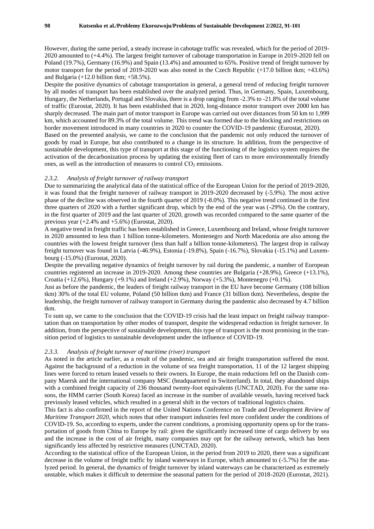However, during the same period, a steady increase in cabotage traffic was revealed, which for the period of 2019- 2020 amounted to (+4.4%). The largest freight turnover of cabotage transportation in Europe in 2019-2020 fell on Poland (19.7%), Germany (16.9%) and Spain (13.4%) and amounted to 65%. Positive trend of freight turnover by motor transport for the period of 2019-2020 was also noted in the Czech Republic (+17.0 billion tkm; +43.6%) and Bulgaria  $(+12.0 \text{ billion}$  tkm;  $+58.5\%$ ).

Despite the positive dynamics of cabotage transportation in general, a general trend of reducing freight turnover by all modes of transport has been established over the analyzed period. Thus, in Germany, Spain, Luxembourg, Hungary, the Netherlands, Portugal and Slovakia, there is a drop ranging from -2.3% to -21.8% of the total volume of traffic (Eurostat, 2020). It has been established that in 2020, long-distance motor transport over 2000 km has sharply decreased. The main part of motor transport in Europe was carried out over distances from 50 km to 1,999 km, which accounted for 89.3% of the total volume. This trend was formed due to the blocking and restrictions on border movement introduced in many countries in 2020 to counter the COVID-19 pandemic (Eurostat, 2020). Based on the presented analysis, we came to the conclusion that the pandemic not only reduced the turnover of

goods by road in Europe, but also contributed to a change in its structure. In addition, from the perspective of sustainable development, this type of transport at this stage of the functioning of the logistics system requires the activation of the decarbonization process by updating the existing fleet of cars to more environmentally friendly ones, as well as the introduction of measures to control  $CO<sub>2</sub>$  emissions.

#### *2.3.2. Analysis of freight turnover of railway transport*

Due to summarizing the analytical data of the statistical office of the European Union for the period of 2019-2020, it was found that the freight turnover of railway transport in 2019-2020 decreased by (-5.9%). The most active phase of the decline was observed in the fourth quarter of 2019 (-8.0%). This negative trend continued in the first three quarters of 2020 with a further significant drop, which by the end of the year was (-29%). On the contrary, in the first quarter of 2019 and the last quarter of 2020, growth was recorded compared to the same quarter of the previous year  $(+2.4\%$  and  $+5.6\%)$  (Eurostat, 2020).

A negative trend in freight traffic has been established in Greece, Luxembourg and Ireland, whose freight turnover in 2020 amounted to less than 1 billion tonne-kilometers. Montenegro and North Macedonia are also among the countries with the lowest freight turnover (less than half a billion tonne-kilometers). The largest drop in railway freight turnover was found in Latvia (-46.9%), Estonia (-19.8%), Spain (-16.7%), Slovakia (-15.1%) and Luxembourg (-15.0%) (Eurostat, 2020).

Despite the prevailing negative dynamics of freight turnover by rail during the pandemic, a number of European countries registered an increase in 2019-2020. Among these countries are Bulgaria (+28.9%), Greece (+13.1%), Croatia (+12.6%), Hungary (+9.1%) and Ireland (+2.9%), Norway (+5.3%), Montenegro (+0.1%).

Just as before the pandemic, the leaders of freight railway transport in the EU have become Germany (108 billion tkm) 30% of the total EU volume, Poland (50 billion tkm) and France (31 billion tkm). Nevertheless, despite the leadership, the freight turnover of railway transport in Germany during the pandemic also decreased by 4.7 billion tkm.

To sum up, we came to the conclusion that the COVID-19 crisis had the least impact on freight railway transportation than on transportation by other modes of transport, despite the widespread reduction in freight turnover. In addition, from the perspective of sustainable development, this type of transport is the most promising in the transition period of logistics to sustainable development under the influence of COVID-19.

#### *2.3.3. Analysis of freight turnover of maritime (river) transport*

As noted in the article earlier, as a result of the pandemic, sea and air freight transportation suffered the most. Against the background of a reduction in the volume of sea freight transportation, 11 of the 12 largest shipping lines were forced to return leased vessels to their owners. In Europe, the main reductions fell on the Danish company Maersk and the international company MSC (headquartered in Switzerland). In total, they abandoned ships with a combined freight capacity of 236 thousand twenty-foot equivalents (UNCTAD, 2020). For the same reasons, the HMM carrier (South Korea) faced an increase in the number of available vessels, having received back previously leased vehicles, which resulted in a general shift in the vectors of traditional logistics chains.

This fact is also confirmed in the report of the United Nations Conference on Trade and Development *Review of Maritime Transport 2020*, which notes that other transport industries feel more confident under the conditions of COVID-19. So, according to experts, under the current conditions, a promising opportunity opens up for the transportation of goods from China to Europe by rail: given the significantly increased time of cargo delivery by sea and the increase in the cost of air freight, many companies may opt for the railway network, which has been significantly less affected by restrictive measures (UNCTAD, 2020).

According to the statistical office of the European Union, in the period from 2019 to 2020, there was a significant decrease in the volume of freight traffic by inland waterways in Europe, which amounted to (-5.7%) for the analyzed period. In general, the dynamics of freight turnover by inland waterways can be characterized as extremely unstable, which makes it difficult to determine the seasonal pattern for the period of 2018-2020 (Eurostat, 2021).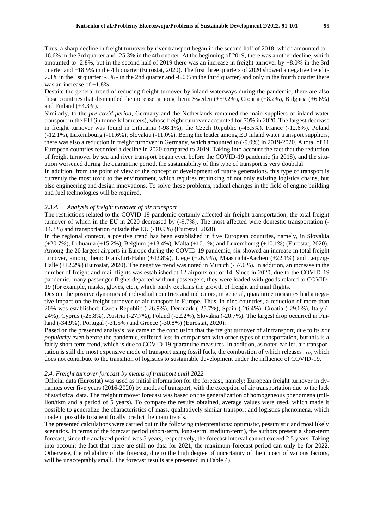Thus, a sharp decline in freight turnover by river transport began in the second half of 2018, which amounted to - 16.6% in the 3rd quarter and -25.3% in the 4th quarter. At the beginning of 2019, there was another decline, which amounted to -2.8%, but in the second half of 2019 there was an increase in freight turnover by +8.0% in the 3rd quarter and +18.9% in the 4th quarter (Eurostat, 2020). The first three quarters of 2020 showed a negative trend (- 7.3% in the 1st quarter; -5% - in the 2nd quarter and -8.0% in the third quarter) and only in the fourth quarter there was an increase of  $+1.8\%$ .

Despite the general trend of reducing freight turnover by inland waterways during the pandemic, there are also those countries that dismantled the increase, among them: Sweden (+59.2%), Croatia (+8.2%), Bulgaria (+6.6%) and Finland (+4.3%).

Similarly, to the *pre-covid period*, Germany and the Netherlands remained the main suppliers of inland water transport in the EU (in tonne-kilometers), whose freight turnover accounted for 70% in 2020. The largest decrease in freight turnover was found in Lithuania (-98.1%), the Czech Republic (-43.5%), France (-12.6%), Poland (-12.1%), Luxembourg (-11.6%), Slovakia (-11.0%). Being the leader among EU inland water transport suppliers, there was also a reduction in freight turnover in Germany, which amounted to (-9.0%) in 2019-2020. A total of 11 European countries recorded a decline in 2020 compared to 2019. Taking into account the fact that the reduction of freight turnover by sea and river transport began even before the COVID-19 pandemic (in 2018), and the situation worsened during the quarantine period, the sustainability of this type of transport is very doubtful.

In addition, from the point of view of the concept of development of future generations, this type of transport is currently the most toxic to the environment, which requires rethinking of not only existing logistics chains, but also engineering and design innovations. To solve these problems, radical changes in the field of engine building and fuel technologies will be required.

#### *2.3.4. Analysis of freight turnover of air transport*

The restrictions related to the COVID-19 pandemic certainly affected air freight transportation, the total freight turnover of which in the EU in 2020 decreased by (-9.7%). The most affected were domestic transportation (- 14.3%) and transportation outside the EU (-10.9%) (Eurostat, 2020).

In the regional context, a positive trend has been established in five European countries, namely, in Slovakia (+20.7%), Lithuania (+15.2%), Belgium (+13.4%), Malta (+10.1%) and Luxembourg (+10.1%) (Eurostat, 2020). Among the 20 largest airports in Europe during the COVID-19 pandemic, six showed an increase in total freight turnover, among them: Frankfurt-Hahn (+42.8%), Liege (+26.9%), Maastricht-Aachen (+22.1%) and Leipzig-Halle (+12.2%) (Eurostat, 2020). The negative trend was noted in Munich (-57.0%). In addition, an increase in the number of freight and mail flights was established at 12 airports out of 14. Since in 2020, due to the COVID-19 pandemic, many passenger flights departed without passengers, they were loaded with goods related to COVID-19 (for example, masks, gloves, etc.), which partly explains the growth of freight and mail flights.

Despite the positive dynamics of individual countries and indicators, in general, quarantine measures had a negative impact on the freight turnover of air transport in Europe. Thus, in nine countries, a reduction of more than 20% was established: Czech Republic (-26.9%), Denmark (-25.7%), Spain (-26.4%), Croatia (-29.6%), Italy (- 24%), Cyprus (-25.8%), Austria (-27.7%), Poland (-22.2%), Slovakia (-20.7%). The largest drop occurred in Finland (-34.9%), Portugal (-31.5%) and Greece (-30.8%) (Eurostat, 2020).

Based on the presented analysis, we came to the conclusion that the freight turnover of air transport, due to its *not popularity* even before the pandemic, suffered less in comparison with other types of transportation, but this is a fairly short-term trend, which is due to COVID-19 quarantine measures. In addition, as noted earlier, air transportation is still the most expensive mode of transport using fossil fuels, the combustion of which releases  $_{CO2}$ , which does not contribute to the transition of logistics to sustainable development under the influence of COVID-19.

#### *2.4. Freight turnover forecast by means of transport until 2022*

Official data (Eurostat) was used as initial information for the forecast, namely: European freight turnover in dynamics over five years (2016-2020) by modes of transport, with the exception of air transportation due to the lack of statistical data. The freight turnover forecast was based on the generalization of homogeneous phenomena (million/tkm and a period of 5 years). To compare the results obtained, average values were used, which made it possible to generalize the characteristics of mass, qualitatively similar transport and logistics phenomena, which made it possible to scientifically predict the main trends.

The presented calculations were carried out in the following interpretations: optimistic, pessimistic and most likely scenarios. In terms of the forecast period (short-term, long-term, medium-term), the authors present a short-term forecast, since the analyzed period was 5 years, respectively, the forecast interval cannot exceed 2.5 years. Taking into account the fact that there are still no data for 2021, the maximum forecast period can only be for 2022. Otherwise, the reliability of the forecast, due to the high degree of uncertainty of the impact of various factors, will be unacceptably small. The forecast results are presented in (Table 4).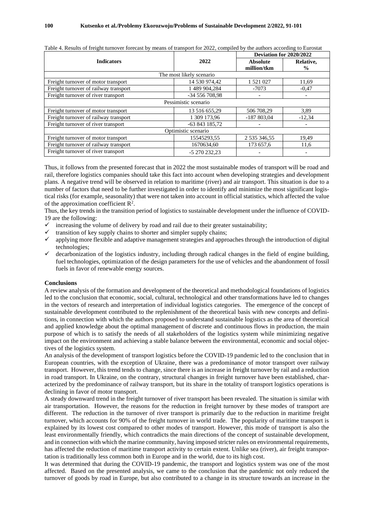|                                       |                | Deviation for 2020/2022 |               |  |  |  |
|---------------------------------------|----------------|-------------------------|---------------|--|--|--|
| <b>Indicators</b>                     | 2022           | <b>Absolute</b>         | Relative,     |  |  |  |
|                                       |                | million/tkm             | $\frac{0}{0}$ |  |  |  |
| The most likely scenario              |                |                         |               |  |  |  |
| Freight turnover of motor transport   | 14 530 974,42  | 1 521 027               | 11,69         |  |  |  |
| Freight turnover of railway transport | 1 489 904,284  | $-7073$                 | $-0.47$       |  |  |  |
| Freight turnover of river transport   | -34 556 708.98 |                         |               |  |  |  |
| Pessimistic scenario                  |                |                         |               |  |  |  |
| Freight turnover of motor transport   | 13 516 655,29  | 506 708.29              | 3,89          |  |  |  |
| Freight turnover of railway transport | 1 309 173.96   | $-187803.04$            | $-12.34$      |  |  |  |
| Freight turnover of river transport   | -63 843 185,72 |                         |               |  |  |  |
| Optimistic scenario                   |                |                         |               |  |  |  |
| Freight turnover of motor transport   | 15545293.55    | 2 535 346,55            | 19.49         |  |  |  |
| Freight turnover of railway transport | 1670634.60     | 173 657,6               | 11,6          |  |  |  |
| Freight turnover of river transport   | -5 270 232.23  |                         |               |  |  |  |

Table 4. Results of freight turnover forecast by means of transport for 2022, compiled by the authors according to Eurostat

Thus, it follows from the presented forecast that in 2022 the most sustainable modes of transport will be road and rail, therefore logistics companies should take this fact into account when developing strategies and development plans. A negative trend will be observed in relation to maritime (river) and air transport. This situation is due to a number of factors that need to be further investigated in order to identify and minimize the most significant logistical risks (for example, seasonality) that were not taken into account in official statistics, which affected the value of the approximation coefficient  $\mathbb{R}^2$ .

Thus, the key trends in the transition period of logistics to sustainable development under the influence of COVID-19 are the following:

- increasing the volume of delivery by road and rail due to their greater sustainability;
- transition of key supply chains to shorter and simpler supply chains;
- $\checkmark$  applying more flexible and adaptive management strategies and approaches through the introduction of digital technologies;
- ✓ decarbonization of the logistics industry, including through radical changes in the field of engine building, fuel technologies, optimization of the design parameters for the use of vehicles and the abandonment of fossil fuels in favor of renewable energy sources.

#### **Conclusions**

A review analysis of the formation and development of the theoretical and methodological foundations of logistics led to the conclusion that economic, social, cultural, technological and other transformations have led to changes in the vectors of research and interpretation of individual logistics categories. The emergence of the concept of sustainable development contributed to the replenishment of the theoretical basis with new concepts and definitions, in connection with which the authors proposed to understand sustainable logistics as the area of theoretical and applied knowledge about the optimal management of discrete and continuous flows in production, the main purpose of which is to satisfy the needs of all stakeholders of the logistics system while minimizing negative impact on the environment and achieving a stable balance between the environmental, economic and social objectives of the logistics system.

An analysis of the development of transport logistics before the COVID-19 pandemic led to the conclusion that in European countries, with the exception of Ukraine, there was a predominance of motor transport over railway transport. However, this trend tends to change, since there is an increase in freight turnover by rail and a reduction in road transport. In Ukraine, on the contrary, structural changes in freight turnover have been established, characterized by the predominance of railway transport, but its share in the totality of transport logistics operations is declining in favor of motor transport.

A steady downward trend in the freight turnover of river transport has been revealed. The situation is similar with air transportation. However, the reasons for the reduction in freight turnover by these modes of transport are different. The reduction in the turnover of river transport is primarily due to the reduction in maritime freight turnover, which accounts for 90% of the freight turnover in world trade. The popularity of maritime transport is explained by its lowest cost compared to other modes of transport. However, this mode of transport is also the least environmentally friendly, which contradicts the main directions of the concept of sustainable development, and in connection with which the marine community, having imposed stricter rules on environmental requirements, has affected the reduction of maritime transport activity to certain extent. Unlike sea (river), air freight transportation is traditionally less common both in Europe and in the world, due to its high cost.

It was determined that during the COVID-19 pandemic, the transport and logistics system was one of the most affected. Based on the presented analysis, we came to the conclusion that the pandemic not only reduced the turnover of goods by road in Europe, but also contributed to a change in its structure towards an increase in the